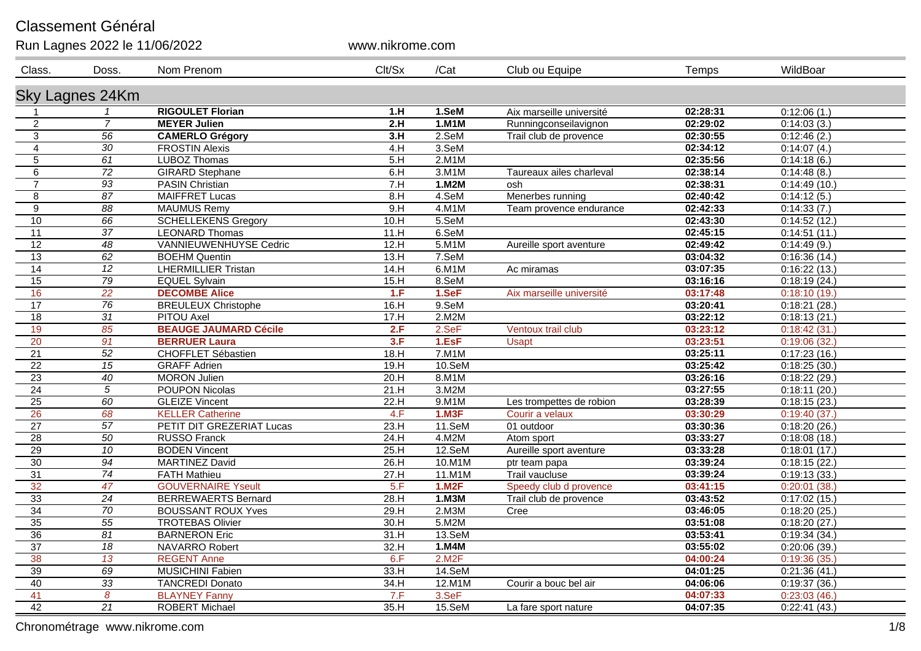## Classement Général

| Run Lagnes 2022 le 11/06/2022 |                 |                               | www.nikrome.com |              |                          |          |              |
|-------------------------------|-----------------|-------------------------------|-----------------|--------------|--------------------------|----------|--------------|
| Class.                        | Doss.           | Nom Prenom                    | Clt/Sx          | /Cat         | Club ou Equipe           | Temps    | WildBoar     |
|                               | Sky Lagnes 24Km |                               |                 |              |                          |          |              |
| $\mathbf 1$                   |                 | <b>RIGOULET Florian</b>       | 1.H             | 1.SeM        | Aix marseille université | 02:28:31 | 0:12:06(1)   |
| $\boldsymbol{2}$              | $\overline{7}$  | <b>MEYER Julien</b>           | 2.H             | $1.$ M $1$ M | Runningconseilavignon    | 02:29:02 | 0:14:03(3)   |
| $\mathbf{3}$                  | 56              | <b>CAMERLO Grégory</b>        | 3.H             | 2.SeM        | Trail club de provence   | 02:30:55 | 0:12:46(2)   |
| $\overline{4}$                | 30              | <b>FROSTIN Alexis</b>         | 4.H             | 3.SeM        |                          | 02:34:12 | 0:14:07(4)   |
| 5                             | 61              | <b>LUBOZ Thomas</b>           | 5.H             | 2.M1M        |                          | 02:35:56 | 0:14:18(6)   |
| 6                             | 72              | <b>GIRARD Stephane</b>        | 6.H             | 3.M1M        | Taureaux ailes charleval | 02:38:14 | 0:14:48(8.)  |
| $\overline{7}$                | $\overline{93}$ | <b>PASIN Christian</b>        | 7.H             | 1.02M        | osh                      | 02:38:31 | 0:14:49(10)  |
| 8                             | $\overline{87}$ | <b>MAIFFRET Lucas</b>         | 8.H             | 4.SeM        | Menerbes running         | 02:40:42 | 0:14:12(5)   |
| $\boldsymbol{9}$              | $\overline{88}$ | <b>MAUMUS Remy</b>            | 9.H             | $4.$ M1M     | Team provence endurance  | 02:42:33 | 0:14:33(7)   |
| 10                            | 66              | <b>SCHELLEKENS Gregory</b>    | 10.H            | 5.SeM        |                          | 02:43:30 | 0:14:52(12.) |
| 11                            | $\overline{37}$ | <b>LEONARD Thomas</b>         | 11.H            | 6.SeM        |                          | 02:45:15 | 0:14:51(11.) |
| 12                            | 48              | <b>VANNIEUWENHUYSE Cedric</b> | 12.H            | $5.$ M1M     | Aureille sport aventure  | 02:49:42 | 0:14:49(9.)  |
| 13                            | 62              | <b>BOEHM Quentin</b>          | 13.H            | 7.SeM        |                          | 03:04:32 | 0:16:36(14)  |
| $\overline{14}$               | $\overline{12}$ | <b>LHERMILLIER Tristan</b>    | 14.H            | $6.$ M1M     | Ac miramas               | 03:07:35 | 0:16:22(13)  |
| 15                            | $\overline{79}$ | <b>EQUEL Sylvain</b>          | 15.H            | 8.SeM        |                          | 03:16:16 | 0:18:19(24)  |
| 16                            | 22              | <b>DECOMBE Alice</b>          | 1.F             | 1.SeF        | Aix marseille université | 03:17:48 | 0:18:10(19)  |
| $\overline{17}$               | $\overline{76}$ | <b>BREULEUX Christophe</b>    | 16.H            | $9.$ SeM     |                          | 03:20:41 | 0:18:21(28)  |
| 18                            | $\overline{31}$ | PITOU Axel                    | 17.H            | 2.M2M        |                          | 03:22:12 | 0:18:13(21.) |
| 19                            | 85              | <b>BEAUGE JAUMARD Cécile</b>  | 2.F             | 2.5eF        | Ventoux trail club       | 03:23:12 | 0:18:42(31)  |
| 20                            | $\overline{91}$ | <b>BERRUER Laura</b>          | 3.F             | 1.EsF        | <b>Usapt</b>             | 03:23:51 | 0:19:06(32)  |
| $\overline{21}$               | $\overline{52}$ | <b>CHOFFLET Sébastien</b>     | 18.H            | $7.$ M1M     |                          | 03:25:11 | 0:17:23(16)  |
| $\overline{22}$               | 15              | <b>GRAFF Adrien</b>           | 19.H            | 10.SeM       |                          | 03:25:42 | 0:18:25(30.) |
| 23                            | 40              | <b>MORON Julien</b>           | 20.H            | 8.M1M        |                          | 03:26:16 | 0:18:22(29.) |
| $\overline{24}$               | $\overline{5}$  | <b>POUPON Nicolas</b>         | 21.H            | 3.M2M        |                          | 03:27:55 | 0:18:11(20)  |
| 25                            | 60              | <b>GLEIZE Vincent</b>         | 22.H            | 9.M1M        | Les trompettes de robion | 03:28:39 | 0:18:15(23)  |
| 26                            | 68              | <b>KELLER Catherine</b>       | 4.F             | 1.03F        | Courir a velaux          | 03:30:29 | 0:19:40(37)  |
| $\overline{27}$               | $\overline{57}$ | PETIT DIT GREZERIAT Lucas     | 23.H            | 11.SeM       | 01 outdoor               | 03:30:36 | 0:18:20(26.) |
| $\overline{28}$               | $\overline{50}$ | <b>RUSSO Franck</b>           | 24.H            | 4.M2M        | Atom sport               | 03:33:27 | 0:18:08(18)  |
| 29                            | $\overline{10}$ | <b>BODEN Vincent</b>          | 25.H            | 12.SeM       | Aureille sport aventure  | 03:33:28 | 0:18:01(17.) |
| $\overline{30}$               | 94              | <b>MARTINEZ David</b>         | 26.H            | 10.M1M       | ptr team papa            | 03:39:24 | 0:18:15(22)  |
| $\overline{31}$               | $\overline{74}$ | <b>FATH Mathieu</b>           | 27.H            | 11.M1M       | <b>Trail vaucluse</b>    | 03:39:24 | 0:19:13(33)  |
| 32                            | 47              | <b>GOUVERNAIRE Yseult</b>     | 5.F             | 1.M2F        | Speedy club d provence   | 03:41:15 | 0:20:01(38)  |
| $\overline{33}$               | $\overline{24}$ | <b>BERREWAERTS Bernard</b>    | 28.H            | 1.03M        | Trail club de provence   | 03:43:52 | 0:17:02(15.) |
| 34                            | 70              | <b>BOUSSANT ROUX Yves</b>     | 29.H            | 2.M3M        | Cree                     | 03:46:05 | 0:18:20(25.) |
| 35                            | $\overline{55}$ | <b>TROTEBAS Olivier</b>       | 30.H            | 5.M2M        |                          | 03:51:08 | 0:18:20(27.) |
| $\overline{36}$               | 81              | <b>BARNERON Eric</b>          | 31.H            | 13.SeM       |                          | 03:53:41 | 0:19:34(34)  |
| $\overline{37}$               | $\overline{18}$ | NAVARRO Robert                | 32.H            | 1.M4M        |                          | 03:55:02 | 0:20:06(39)  |
| 38                            | 13              | <b>REGENT Anne</b>            | 6.F             | 2.M2F        |                          | 04:00:24 | 0:19:36(35)  |
| 39                            | 69              | <b>MUSICHINI Fabien</b>       | 33.H            | 14.SeM       |                          | 04:01:25 | 0:21:36(41)  |
| 40                            | $\overline{33}$ | <b>TANCREDI Donato</b>        | 34.H            | 12.M1M       | Courir a bouc bel air    | 04:06:06 | 0:19:37(36)  |
| 41                            | 8               | <b>BLAYNEY Fanny</b>          | 7.F             | 3.SeF        |                          | 04:07:33 | 0:23:03(46)  |
| 42                            | 21              | <b>ROBERT Michael</b>         | 35.H            | 15.SeM       | La fare sport nature     | 04:07:35 | 0:22:41(43)  |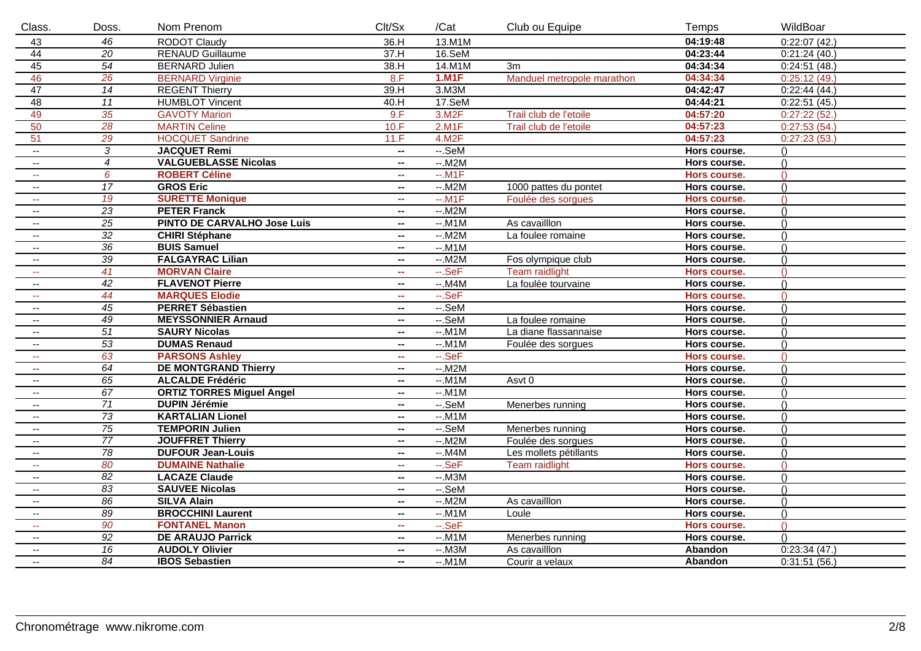| Class.                                        | Doss.           | Nom Prenom                         | Clt/Sx                     | /Cat         | Club ou Equipe             | Temps               | WildBoar         |
|-----------------------------------------------|-----------------|------------------------------------|----------------------------|--------------|----------------------------|---------------------|------------------|
| 43                                            | 46              | <b>RODOT Claudy</b>                | 36.H                       | 13.M1M       |                            | 04:19:48            | 0:22:07(42.)     |
| 44                                            | $\overline{20}$ | <b>RENAUD Guillaume</b>            | 37.H                       | $16.$ SeM    |                            | 04:23:44            | 0:21:24(40)      |
| 45                                            | $\overline{54}$ | <b>BERNARD Julien</b>              | 38.H                       | 14.M1M       | 3m                         | 04:34:34            | 0:24:51(48)      |
| 46                                            | 26              | <b>BERNARD Virginie</b>            | 8.F                        | <b>1.M1F</b> | Manduel metropole marathon | 04:34:34            | 0:25:12(49)      |
| 47                                            | $\overline{14}$ | <b>REGENT Thierry</b>              | 39.H                       | $3.$ M $3M$  |                            | 04:42:47            | 0:22:44(44.)     |
| 48                                            | $\overline{11}$ | <b>HUMBLOT Vincent</b>             | 40.H                       | 17.SeM       |                            | 04:44:21            | 0:22:51(45.)     |
| 49                                            | 35              | <b>GAVOTY Marion</b>               | 9.F                        | 3.M2F        | Trail club de l'etoile     | 04:57:20            | 0:27:22(52)      |
| 50                                            | $\overline{28}$ | <b>MARTIN Celine</b>               | 10.F                       | 2.M1F        | Trail club de l'etoile     | 04:57:23            | 0:27:53(54)      |
| 51                                            | 29              | <b>HOCQUET Sandrine</b>            | 11.F                       | 4.M2F        |                            | 04:57:23            | 0:27:23(53)      |
| $\mathcal{L}(\mathcal{L})$                    | $\overline{3}$  | <b>JACQUET Remi</b>                | $\mathbf{u}$               | $-.$ SeM     |                            | Hors course.        | ()               |
| $\mathbb{H}^{\mathbb{Z}}$                     | $\overline{4}$  | <b>VALGUEBLASSE Nicolas</b>        | $\overline{\phantom{a}}$   | $-.M2M$      |                            | Hors course.        | $\left( \right)$ |
| $\sim$ $\sim$                                 | $\overline{6}$  | <b>ROBERT Céline</b>               | ш.                         | $-M1F$       |                            | <b>Hors course.</b> | $\left( \right)$ |
| $\mathcal{L}(\mathcal{L})$                    | 17              | <b>GROS Eric</b>                   | $\mathbf{u}$               | $-.M2M$      | 1000 pattes du pontet      | Hors course.        | ()               |
| $\sim$ $\sim$                                 | 19              | <b>SURETTE Monique</b>             | and .                      | $-.M1F$      | Foulée des sorgues         | Hors course.        | $\bigcap$        |
| $\sim$                                        | $\overline{23}$ | <b>PETER Franck</b>                | ⊷.                         | $-.M2M$      |                            | Hors course.        | ()               |
| $\sim$ $\sim$                                 | $\overline{25}$ | <b>PINTO DE CARVALHO Jose Luis</b> | н.                         | $-.M1M$      | As cavailllon              | Hors course.        | $\left( \right)$ |
| $\sim$                                        | 32              | <b>CHIRI Stéphane</b>              | ж.                         | $-.M2M$      | La foulee romaine          | Hors course.        | $\left( \right)$ |
| $\mathbb{H}^{\mathbb{H}}$                     | $\overline{36}$ | <b>BUIS Samuel</b>                 | $\mathbf{u}$               | $-.M1M$      |                            | Hors course.        | ()               |
| $\sim$                                        | $\overline{39}$ | <b>FALGAYRAC Lilian</b>            | $\sim$                     | $-.M2M$      | Fos olympique club         | Hors course.        | $\left( \right)$ |
| $\sim$                                        | 41              | <b>MORVAN Claire</b>               | $\sim$                     | $-SeF$       | <b>Team raidlight</b>      | <b>Hors course.</b> | $\Omega$         |
| $\overline{a}$                                | $\overline{42}$ | <b>FLAVENOT Pierre</b>             | $\mathbf{u}$               | $-.MAM$      | La foulée tourvaine        | Hors course.        | $\left( \right)$ |
| $\sim$ $\sim$                                 | 44              | <b>MARQUES Elodie</b>              | aan.                       | $-SeF$       |                            | Hors course.        | $\left( \right)$ |
| $\mathord{\hspace{1pt}\text{--}\hspace{1pt}}$ | $\overline{45}$ | <b>PERRET Sébastien</b>            | $\mathbf{u}$               | $-.$ SeM     |                            | Hors course.        | ()               |
| ٠.                                            | $\overline{49}$ | <b>MEYSSONNIER Arnaud</b>          | $\overline{\phantom{a}}$   | $-SeM$       | La foulee romaine          | Hors course.        | ()               |
| $\sim$                                        | $\overline{51}$ | <b>SAURY Nicolas</b>               | $\mathbf{u}$               | $-.M1M$      | La diane flassannaise      | Hors course.        | ()               |
| $\sim$                                        | $\overline{53}$ | <b>DUMAS Renaud</b>                | $\mathbf{H}$               | $-.M1M$      | Foulée des sorgues         | Hors course.        | ()               |
| $\sim$                                        | 63              | <b>PARSONS Ashley</b>              | $\sim$                     | $-SeF$       |                            | Hors course.        | $\bigcap$        |
| $\sim$                                        | 64              | <b>DE MONTGRAND Thierry</b>        | н.                         | $-.M2M$      |                            | Hors course.        | ()               |
| $\sim$                                        | 65              | <b>ALCALDE Frédéric</b>            | $\mathbf{u}$               | $-.M1M$      | Asvt 0                     | Hors course.        | ()               |
| $\mathcal{L}(\mathcal{L})$                    | $\overline{67}$ | <b>ORTIZ TORRES Miguel Angel</b>   | $\mathbf{u}$               | $-.M1M$      |                            | Hors course.        | ()               |
| $\sim$                                        | $\overline{71}$ | <b>DUPIN Jérémie</b>               | н.                         | $-SeM$       | Menerbes running           | Hors course.        | ()               |
| $\sim$                                        | $\overline{73}$ | <b>KARTALIAN Lionel</b>            | ⊷.                         | $-.M1M$      |                            | Hors course.        | ()               |
| $\mathcal{L}(\mathcal{L})$                    | $\overline{75}$ | <b>TEMPORIN Julien</b>             | н.                         | $-SeM$       | Menerbes running           | Hors course.        | ()               |
| $\sim$                                        | $\overline{77}$ | <b>JOUFFRET Thierry</b>            | $\overline{\phantom{a}}$   | $-.M2M$      | Foulée des sorgues         | Hors course.        | $\left( \right)$ |
| $\sim$ $\sim$                                 | $\overline{78}$ | <b>DUFOUR Jean-Louis</b>           | ⊷.                         | $-.MAM$      | Les mollets pétillants     | Hors course.        | ()               |
| 44                                            | 80              | <b>DUMAINE Nathalie</b>            | and .                      | $-SeF$       | <b>Team raidlight</b>      | Hors course.        | $\bigcap$        |
| $\sim$                                        | $\overline{82}$ | <b>LACAZE Claude</b>               | $\sim$                     | $-.M3M$      |                            | Hors course.        | $\left( \right)$ |
| $\mathbf{u}$                                  | $\overline{83}$ | <b>SAUVEE Nicolas</b>              | $\mathbf{u}$               | $-SeM$       |                            | Hors course.        | ()               |
| $\sim$                                        | 86              | <b>SILVA Alain</b>                 | н.                         | $-.M2M$      | As cavailllon              | Hors course.        | $\left( \right)$ |
| $\mathord{\hspace{1pt}\text{--}\hspace{1pt}}$ | $\overline{89}$ | <b>BROCCHINI Laurent</b>           | н.                         | $-.M1M$      | Loule                      | Hors course.        | ()               |
| ш.                                            | 90              | <b>FONTANEL Manon</b>              | $\mathcal{L}_{\text{max}}$ | $-SeF$       |                            | Hors course.        | $\bigcap$        |
| $\sim$                                        | $\overline{92}$ | <b>DE ARAUJO Parrick</b>           | н.                         | $-.M1M$      | Menerbes running           | Hors course.        | $\left( \right)$ |
| $\sim$                                        | $\overline{16}$ | <b>AUDOLY Olivier</b>              | $\mathbf{u}$               | $-.M3M$      | As cavailllon              | Abandon             | 0:23:34(47)      |
| $\overline{\phantom{a}}$                      | $\overline{84}$ | <b>IBOS Sebastien</b>              | $\sim$                     | $-.M1M$      | Courir a velaux            | Abandon             | 0:31:51(56)      |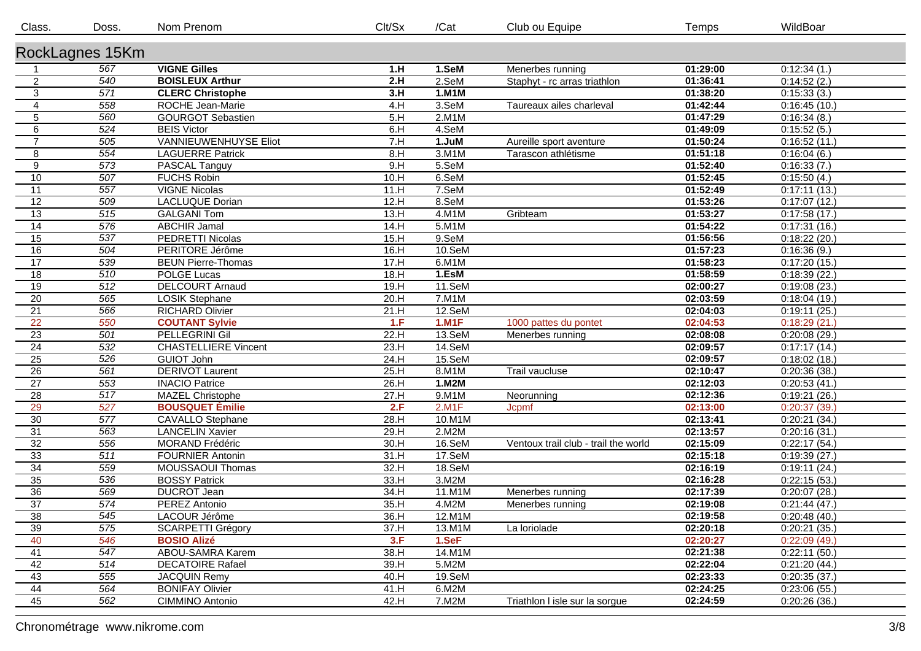| Class.          | Doss.            | Nom Prenom                   | Clt/Sx | /Cat         | Club ou Equipe                       | Temps    | WildBoar     |  |  |  |
|-----------------|------------------|------------------------------|--------|--------------|--------------------------------------|----------|--------------|--|--|--|
| RockLagnes 15Km |                  |                              |        |              |                                      |          |              |  |  |  |
|                 | 567              | <b>VIGNE Gilles</b>          | 1.H    | 1.SeM        | Menerbes running                     | 01:29:00 | 0:12:34(1)   |  |  |  |
| $\overline{2}$  | 540              | <b>BOISLEUX Arthur</b>       | 2.H    | 2.SeM        | Staphyt - rc arras triathlon         | 01:36:41 | 0:14:52(2.)  |  |  |  |
| $\overline{3}$  | 571              | <b>CLERC Christophe</b>      | 3.H    | 1.M1M        |                                      | 01:38:20 | 0:15:33(3)   |  |  |  |
| $\overline{4}$  | 558              | ROCHE Jean-Marie             | 4.H    | 3.SeM        | Taureaux ailes charleval             | 01:42:44 | 0:16:45(10.) |  |  |  |
| $\sqrt{5}$      | 560              | <b>GOURGOT Sebastien</b>     | 5.H    | 2.M1M        |                                      | 01:47:29 | 0:16:34(8.)  |  |  |  |
| $\,6\,$         | 524              | <b>BEIS Victor</b>           | 6.H    | 4.SeM        |                                      | 01:49:09 | 0:15:52(5.)  |  |  |  |
| $\overline{7}$  | 505              | <b>VANNIEUWENHUYSE Eliot</b> | 7.H    | 1.JuM        | Aureille sport aventure              | 01:50:24 | 0:16:52(11)  |  |  |  |
| 8               | 554              | <b>LAGUERRE Patrick</b>      | 8.H    | 3.M1M        | Tarascon athlétisme                  | 01:51:18 | 0:16:04(6.)  |  |  |  |
| 9               | $\overline{573}$ | PASCAL Tanguy                | 9.H    | 5.SeM        |                                      | 01:52:40 | 0:16:33(7.)  |  |  |  |
| 10              | 507              | <b>FUCHS Robin</b>           | 10.H   | 6.SeM        |                                      | 01:52:45 | 0:15:50(4.)  |  |  |  |
| 11              | 557              | <b>VIGNE Nicolas</b>         | 11.H   | 7.SeM        |                                      | 01:52:49 | 0:17:11(13.) |  |  |  |
| 12              | 509              | LACLUQUE Dorian              | 12.H   | 8.SeM        |                                      | 01:53:26 | 0:17:07(12.) |  |  |  |
| $\overline{13}$ | $\overline{515}$ | <b>GALGANI Tom</b>           | 13.H   | 4.M1M        | Gribteam                             | 01:53:27 | 0:17:58(17.) |  |  |  |
| $\overline{14}$ | 576              | <b>ABCHIR Jamal</b>          | 14.H   | 5.M1M        |                                      | 01:54:22 | 0:17:31(16.) |  |  |  |
| $\overline{15}$ | $\overline{537}$ | PEDRETTI Nicolas             | 15.H   | 9.SeM        |                                      | 01:56:56 | 0:18:22(20.) |  |  |  |
| 16              | 504              | PERITORE Jérôme              | 16.H   | 10.SeM       |                                      | 01:57:23 | 0:16:36(9.)  |  |  |  |
| 17              | 539              | <b>BEUN Pierre-Thomas</b>    | 17.H   | 6.M1M        |                                      | 01:58:23 | 0:17:20(15.) |  |  |  |
| 18              | 510              | POLGE Lucas                  | 18.H   | 1.EsM        |                                      | 01:58:59 | 0:18:39(22)  |  |  |  |
| 19              | 512              | <b>DELCOURT Arnaud</b>       | 19.H   | 11.SeM       |                                      | 02:00:27 | 0:19:08(23.) |  |  |  |
| $\overline{20}$ | 565              | LOSIK Stephane               | 20.H   | $7.$ M $1M$  |                                      | 02:03:59 | 0:18:04(19.) |  |  |  |
| 21              | 566              | <b>RICHARD Olivier</b>       | 21.H   | 12.SeM       |                                      | 02:04:03 | 0:19:11(25)  |  |  |  |
| 22              | 550              | <b>COUTANT Sylvie</b>        | 1.F    | <b>1.M1F</b> | 1000 pattes du pontet                | 02:04:53 | 0:18:29(21)  |  |  |  |
| 23              | 501              | <b>PELLEGRINI Gil</b>        | 22.H   | 13.SeM       | Menerbes running                     | 02:08:08 | 0:20:08(29.) |  |  |  |
| 24              | 532              | <b>CHASTELLIERE Vincent</b>  | 23.H   | 14.SeM       |                                      | 02:09:57 | 0:17:17(14.) |  |  |  |
| 25              | 526              | <b>GUIOT John</b>            | 24.H   | 15.SeM       |                                      | 02:09:57 | 0:18:02(18.) |  |  |  |
| $\overline{26}$ | 561              | <b>DERIVOT Laurent</b>       | 25.H   | 8.M1M        | Trail vaucluse                       | 02:10:47 | 0:20:36(38.) |  |  |  |
| $\overline{27}$ | 553              | <b>INACIO Patrice</b>        | 26.H   | 1.M2M        |                                      | 02:12:03 | 0:20:53(41.) |  |  |  |
| $\overline{28}$ | 517              | <b>MAZEL Christophe</b>      | 27.H   | 9.M1M        | Neorunning                           | 02:12:36 | 0:19:21(26)  |  |  |  |
| 29              | 527              | <b>BOUSQUET Émilie</b>       | 2.F    | 2.M1F        | Jcpmf                                | 02:13:00 | 0:20:37(39)  |  |  |  |
| $\overline{30}$ | $\overline{577}$ | <b>CAVALLO Stephane</b>      | 28.H   | 10.M1M       |                                      | 02:13:41 | 0:20:21(34)  |  |  |  |
| $\overline{31}$ | 563              | <b>LANCELIN Xavier</b>       | 29.H   | 2.M2M        |                                      | 02:13:57 | 0:20:16(31)  |  |  |  |
| $\overline{32}$ | 556              | <b>MORAND Frédéric</b>       | 30.H   | 16.SeM       | Ventoux trail club - trail the world | 02:15:09 | 0:22:17(54.) |  |  |  |
| 33              | 511              | FOURNIER Antonin             | 31.H   | 17.SeM       |                                      | 02:15:18 | 0:19:39(27.) |  |  |  |
| $\overline{34}$ | 559              | <b>MOUSSAOUI Thomas</b>      | 32.H   | 18.SeM       |                                      | 02:16:19 | 0:19:11(24)  |  |  |  |
| 35              | 536              | <b>BOSSY Patrick</b>         | 33.H   | 3.M2M        |                                      | 02:16:28 | 0:22:15(53)  |  |  |  |
| $\overline{36}$ | 569              | <b>DUCROT Jean</b>           | 34.H   | 11.M1M       | Menerbes running                     | 02:17:39 | 0:20:07(28.) |  |  |  |
| $\overline{37}$ | 574              | PEREZ Antonio                | 35.H   | 4.M2M        | Menerbes running                     | 02:19:08 | 0:21:44(47.) |  |  |  |
| 38              | 545              | LACOUR Jérôme                | 36.H   | 12.M1M       |                                      | 02:19:58 | 0:20:48(40.) |  |  |  |
| 39              | $\overline{575}$ | <b>SCARPETTI Grégory</b>     | 37.H   | 13.M1M       | La loriolade                         | 02:20:18 | 0:20:21(35.) |  |  |  |
| 40              | 546              | <b>BOSIO Alizé</b>           | 3.F    | 1.SeF        |                                      | 02:20:27 | 0:22:09(49)  |  |  |  |
| 41              | 547              | ABOU-SAMRA Karem             | 38.H   | 14.M1M       |                                      | 02:21:38 | 0:22:11(50)  |  |  |  |
| 42              | 514              | <b>DECATOIRE Rafael</b>      | 39.H   | 5.M2M        |                                      | 02:22:04 | 0:21:20(44.) |  |  |  |
| 43              | 555              | <b>JACQUIN Remy</b>          | 40.H   | 19.SeM       |                                      | 02:23:33 | 0:20:35(37.) |  |  |  |
| 44              | 564              | <b>BONIFAY Olivier</b>       | 41.H   | 6.M2M        |                                      | 02:24:25 | 0:23:06(55.) |  |  |  |
| 45              | 562              | CIMMINO Antonio              | 42.H   | 7.M2M        | Triathlon I isle sur la sorgue       | 02:24:59 | 0:20:26(36.) |  |  |  |
|                 |                  |                              |        |              |                                      |          |              |  |  |  |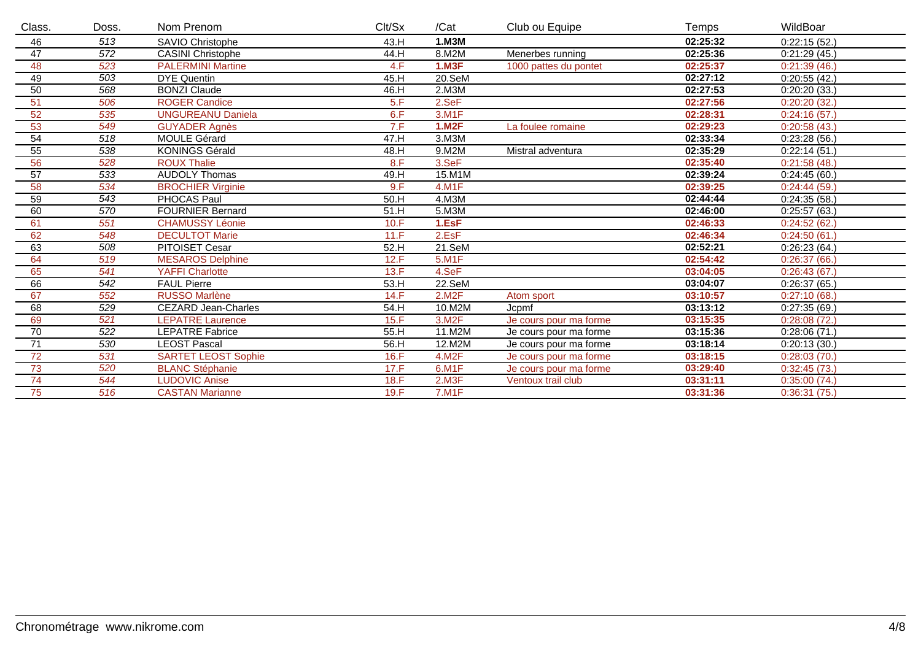| Class.          | Doss. | Nom Prenom                 | Clt/Sx | /Cat         | Club ou Equipe         | Temps    | WildBoar     |
|-----------------|-------|----------------------------|--------|--------------|------------------------|----------|--------------|
| 46              | 513   | <b>SAVIO Christophe</b>    | 43.H   | 1.M3M        |                        | 02:25:32 | 0:22:15(52)  |
| 47              | 572   | <b>CASINI Christophe</b>   | 44.H   | 8.M2M        | Menerbes running       | 02:25:36 | 0:21:29(45.) |
| 48              | 523   | <b>PALERMINI Martine</b>   | 4.F    | <b>1.M3F</b> | 1000 pattes du pontet  | 02:25:37 | 0:21:39(46)  |
| 49              | 503   | <b>DYE</b> Quentin         | 45.H   | 20.SeM       |                        | 02:27:12 | 0:20:55(42.) |
| 50              | 568   | <b>BONZI Claude</b>        | 46.H   | 2.M3M        |                        | 02:27:53 | 0:20:20(33.) |
| 51              | 506   | <b>ROGER Candice</b>       | 5.F    | 2.SeF        |                        | 02:27:56 | 0:20:20(32)  |
| 52              | 535   | <b>UNGUREANU Daniela</b>   | 6.F    | 3.M1F        |                        | 02:28:31 | 0:24:16(57.) |
| 53              | 549   | <b>GUYADER</b> Agnès       | 7.F    | <b>1.M2F</b> | La foulee romaine      | 02:29:23 | 0:20:58(43)  |
| 54              | 518   | <b>MOULE Gérard</b>        | 47.H   | $3.$ M $3M$  |                        | 02:33:34 | 0:23:28(56)  |
| 55              | 538   | <b>KONINGS Gérald</b>      | 48.H   | 9.M2M        | Mistral adventura      | 02:35:29 | 0:22:14(51)  |
| 56              | 528   | <b>ROUX Thalie</b>         | 8.F    | 3.SeF        |                        | 02:35:40 | 0:21:58(48)  |
| 57              | 533   | <b>AUDOLY Thomas</b>       | 49.H   | 15.M1M       |                        | 02:39:24 | 0:24:45(60.) |
| 58              | 534   | <b>BROCHIER Virginie</b>   | 9.F    | $4.$ M1 $F$  |                        | 02:39:25 | 0:24:44(59)  |
| 59              | 543   | PHOCAS Paul                | 50.H   | 4.M3M        |                        | 02:44:44 | 0:24:35(58.) |
| 60              | 570   | <b>FOURNIER Bernard</b>    | 51.H   | 5.M3M        |                        | 02:46:00 | 0:25:57(63)  |
| 61              | 551   | <b>CHAMUSSY Léonie</b>     | 10.F   | 1.EsF        |                        | 02:46:33 | 0:24:52(62)  |
| 62              | 548   | <b>DECULTOT Marie</b>      | 11.F   | 2.EsF        |                        | 02:46:34 | 0:24:50(61)  |
| 63              | 508   | <b>PITOISET Cesar</b>      | 52.H   | 21.SeM       |                        | 02:52:21 | 0:26:23(64)  |
| 64              | 519   | <b>MESAROS Delphine</b>    | 12.F   | $5.$ M1 $F$  |                        | 02:54:42 | 0:26:37(66)  |
| 65              | 541   | <b>YAFFI Charlotte</b>     | 13.F   | 4.SeF        |                        | 03:04:05 | 0:26:43(67)  |
| 66              | 542   | <b>FAUL Pierre</b>         | 53.H   | 22.SeM       |                        | 03:04:07 | 0:26:37(65)  |
| 67              | 552   | <b>RUSSO Marlène</b>       | 14.F   | 2.M2F        | Atom sport             | 03:10:57 | 0:27:10(68)  |
| 68              | 529   | <b>CEZARD Jean-Charles</b> | 54.H   | 10.M2M       | Jcpmf                  | 03:13:12 | 0:27:35(69)  |
| 69              | 521   | <b>LEPATRE</b> Laurence    | 15.F   | 3.M2F        | Je cours pour ma forme | 03:15:35 | 0:28:08(72)  |
| 70              | 522   | <b>LEPATRE Fabrice</b>     | 55.H   | 11.M2M       | Je cours pour ma forme | 03:15:36 | 0:28:06(71.) |
| $\overline{71}$ | 530   | <b>LEOST Pascal</b>        | 56.H   | 12.M2M       | Je cours pour ma forme | 03:18:14 | 0:20:13(30.) |
| 72              | 531   | <b>SARTET LEOST Sophie</b> | 16.F   | 4.M2F        | Je cours pour ma forme | 03:18:15 | 0:28:03(70.) |
| 73              | 520   | <b>BLANC Stéphanie</b>     | 17.F   | 6.M1F        | Je cours pour ma forme | 03:29:40 | 0:32:45(73)  |
| 74              | 544   | <b>LUDOVIC Anise</b>       | 18.F   | 2.M3F        | Ventoux trail club     | 03:31:11 | 0:35:00(74)  |
| 75              | 516   | <b>CASTAN Marianne</b>     | 19.F   | <b>7.M1F</b> |                        | 03:31:36 | 0:36:31(75)  |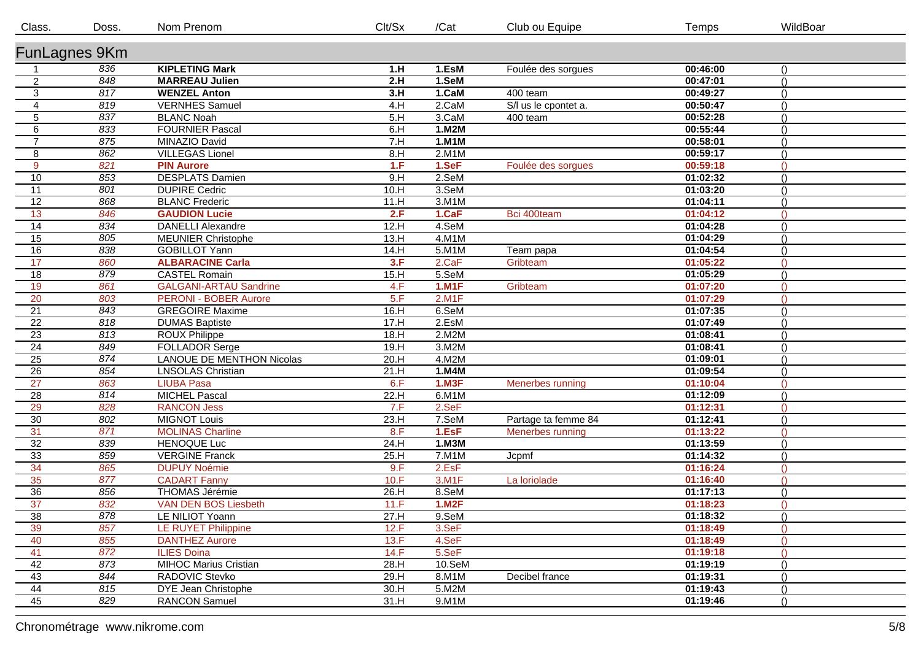| Class.          | Doss. | Nom Prenom                       | Clt/Sx | /Cat         | Club ou Equipe       | Temps    | WildBoar         |  |  |  |
|-----------------|-------|----------------------------------|--------|--------------|----------------------|----------|------------------|--|--|--|
| FunLagnes 9Km   |       |                                  |        |              |                      |          |                  |  |  |  |
|                 | 836   | <b>KIPLETING Mark</b>            | 1.H    | 1.EsM        | Foulée des sorgues   | 00:46:00 |                  |  |  |  |
| $\mathbf{2}$    | 848   | <b>MARREAU Julien</b>            | 2.H    | 1.SeM        |                      | 00:47:01 | $\bigcap$        |  |  |  |
| $\mathbf{3}$    | 817   | <b>WENZEL Anton</b>              | 3.H    | 1.CaM        | 400 team             | 00:49:27 | $\Omega$         |  |  |  |
| $\overline{4}$  | 819   | <b>VERNHES Samuel</b>            | 4.H    | 2.CaM        | S/I us le cpontet a. | 00:50:47 | $\bigcap$        |  |  |  |
| $\overline{5}$  | 837   | <b>BLANC Noah</b>                | 5.H    | 3.CaM        | 400 team             | 00:52:28 | $\bigcap$        |  |  |  |
| 6               | 833   | <b>FOURNIER Pascal</b>           | 6.H    | 1.M2M        |                      | 00:55:44 | $\bigcap$        |  |  |  |
| $\overline{7}$  | 875   | MINAZIO David                    | 7.H    | 1.M1M        |                      | 00:58:01 | $\bigcap$        |  |  |  |
| 8               | 862   | <b>VILLEGAS Lionel</b>           | 8.H    | 2.M1M        |                      | 00:59:17 | $\bigcap$        |  |  |  |
| 9               | 821   | <b>PIN Aurore</b>                | 1.F    | 1.SeF        | Foulée des sorgues   | 00:59:18 | $\Omega$         |  |  |  |
| 10              | 853   | <b>DESPLATS Damien</b>           | 9.H    | 2.SeM        |                      | 01:02:32 | $\bigcap$        |  |  |  |
| 11              | 801   | <b>DUPIRE Cedric</b>             | 10.H   | 3.SeM        |                      | 01:03:20 | $\bigcap$        |  |  |  |
| 12              | 868   | <b>BLANC Frederic</b>            | 11.H   | 3.M1M        |                      | 01:04:11 | $\bigcap$        |  |  |  |
| 13              | 846   | <b>GAUDION Lucie</b>             | 2.F    | 1.CaF        | Bci 400team          | 01:04:12 | $\bigcap$        |  |  |  |
| 14              | 834   | <b>DANELLI Alexandre</b>         | 12.H   | 4.SeM        |                      | 01:04:28 | $\bigcap$        |  |  |  |
| 15              | 805   | <b>MEUNIER Christophe</b>        | 13.H   | 4.M1M        |                      | 01:04:29 | $\bigcap$        |  |  |  |
| 16              | 838   | <b>GOBILLOT Yann</b>             | 14.H   | 5.M1M        | Team papa            | 01:04:54 | $\left( \right)$ |  |  |  |
| 17              | 860   | <b>ALBARACINE Carla</b>          | 3.F    | 2.CaF        | Gribteam             | 01:05:22 | $\Omega$         |  |  |  |
| 18              | 879   | <b>CASTEL Romain</b>             | 15.H   | 5.SeM        |                      | 01:05:29 | $\bigcap$        |  |  |  |
| 19              | 861   | <b>GALGANI-ARTAU Sandrine</b>    | 4.F    | <b>1.M1F</b> | Gribteam             | 01:07:20 | $\Omega$         |  |  |  |
| 20              | 803   | <b>PERONI - BOBER Aurore</b>     | 5.F    | 2.M1F        |                      | 01:07:29 | $\Omega$         |  |  |  |
| 21              | 843   | <b>GREGOIRE Maxime</b>           | 16.H   | 6.SeM        |                      | 01:07:35 | $\bigcap$        |  |  |  |
| $\overline{22}$ | 818   | <b>DUMAS Baptiste</b>            | 17.H   | 2.EsM        |                      | 01:07:49 | $\bigcap$        |  |  |  |
| $\overline{23}$ | 813   | ROUX Philippe                    | 18.H   | 2.M2M        |                      | 01:08:41 | $\bigcap$        |  |  |  |
| 24              | 849   | <b>FOLLADOR Serge</b>            | 19.H   | 3.M2M        |                      | 01:08:41 | $\bigcap$        |  |  |  |
| 25              | 874   | <b>LANOUE DE MENTHON Nicolas</b> | 20.H   | 4.M2M        |                      | 01:09:01 | $\wedge$         |  |  |  |
| $\overline{26}$ | 854   | <b>LNSOLAS Christian</b>         | 21.H   | 1.M4M        |                      | 01:09:54 |                  |  |  |  |
| 27              | 863   | <b>LIUBA Pasa</b>                | 6.F    | <b>1.M3F</b> | Menerbes running     | 01:10:04 | $\bigcap$        |  |  |  |
| $\overline{28}$ | 814   | <b>MICHEL Pascal</b>             | 22.H   | $6.$ M1M     |                      | 01:12:09 | $\bigcap$        |  |  |  |
| 29              | 828   | <b>RANCON Jess</b>               | 7.F    | 2.SeF        |                      | 01:12:31 | $\bigcap$        |  |  |  |
| 30              | 802   | <b>MIGNOT Louis</b>              | 23.H   | 7.SeM        | Partage ta femme 84  | 01:12:41 | $\bigcap$        |  |  |  |
| 31              | 871   | <b>MOLINAS Charline</b>          | 8.F    | 1.EsF        | Menerbes running     | 01:13:22 | $\bigcap$        |  |  |  |
| $\overline{32}$ | 839   | <b>HENOQUE Luc</b>               | 24.H   | 1.M3M        |                      | 01:13:59 | $\left( \right)$ |  |  |  |
| 33              | 859   | <b>VERGINE Franck</b>            | 25.H   | 7.M1M        | Jcpmf                | 01:14:32 | $\bigcap$        |  |  |  |
| 34              | 865   | <b>DUPUY Noémie</b>              | 9.F    | 2.EsF        |                      | 01:16:24 | $\Omega$         |  |  |  |
| 35              | 877   | <b>CADART Fanny</b>              | 10.F   | 3.M1F        | La loriolade         | 01:16:40 | $\Omega$         |  |  |  |
| 36              | 856   | <b>THOMAS Jérémie</b>            | 26.H   | 8.SeM        |                      | 01:17:13 | $\bigcap$        |  |  |  |
| $\overline{37}$ | 832   | VAN DEN BOS Liesbeth             | 11.F   | <b>1.M2F</b> |                      | 01:18:23 | $\bigcap$        |  |  |  |
| 38              | 878   | LE NILIOT Yoann                  | 27.H   | 9.SeM        |                      | 01:18:32 | $\bigcap$        |  |  |  |
| 39              | 857   | LE RUYET Philippine              | 12.F   | 3.SeF        |                      | 01:18:49 | $\bigcap$        |  |  |  |
| 40              | 855   | <b>DANTHEZ Aurore</b>            | 13.F   | 4.SeF        |                      | 01:18:49 | $\Omega$         |  |  |  |
| 41              | 872   | <b>ILIES Doina</b>               | 14.F   | 5.SeF        |                      | 01:19:18 | $\bigcap$        |  |  |  |
| 42              | 873   | <b>MIHOC Marius Cristian</b>     | 28.H   | 10.SeM       |                      | 01:19:19 | $\bigcap$        |  |  |  |
| 43              | 844   | RADOVIC Stevko                   | 29.H   | 8.M1M        | Decibel france       | 01:19:31 | $\left( \right)$ |  |  |  |
| 44              | 815   | DYE Jean Christophe              | 30.H   | 5.M2M        |                      | 01:19:43 | $\bigcap$        |  |  |  |
| 45              | 829   | <b>RANCON Samuel</b>             | 31.H   | 9.M1M        |                      | 01:19:46 | $\left( \right)$ |  |  |  |
|                 |       |                                  |        |              |                      |          |                  |  |  |  |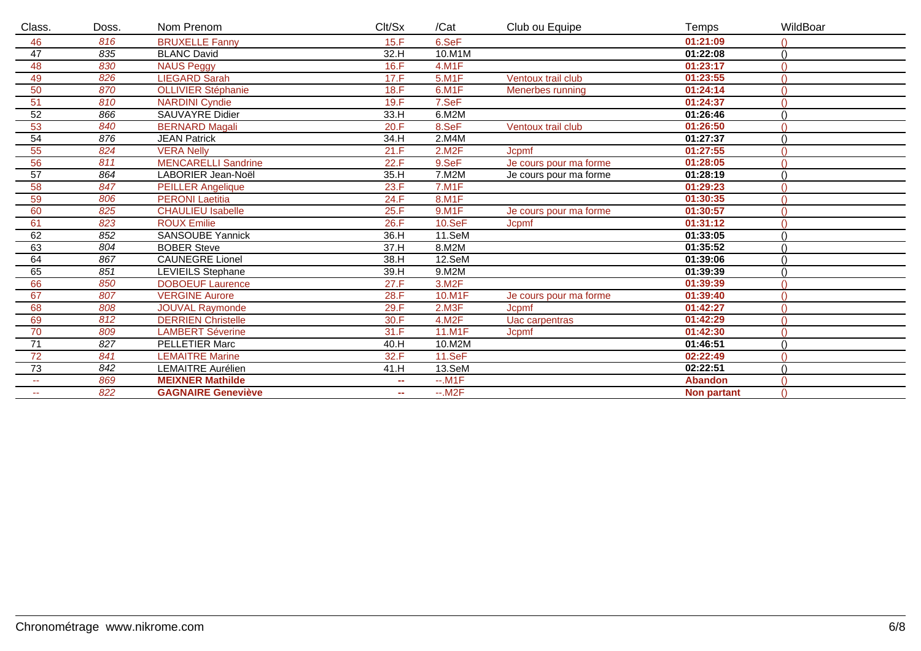| Class.          | Doss. | Nom Prenom                 | Clt/Sx | /Cat         | Club ou Equipe         | Temps              | WildBoar    |
|-----------------|-------|----------------------------|--------|--------------|------------------------|--------------------|-------------|
| 46              | 816   | <b>BRUXELLE Fanny</b>      | 15.F   | 6.SeF        |                        | 01:21:09           |             |
| 47              | 835   | <b>BLANC David</b>         | 32.H   | 10.M1M       |                        | 01:22:08           | $\bigwedge$ |
| 48              | 830   | <b>NAUS Peggy</b>          | 16.F   | $4.$ M1 $F$  |                        | 01:23:17           |             |
| 49              | 826   | <b>LIEGARD Sarah</b>       | 17.F   | 5.M1F        | Ventoux trail club     | 01:23:55           |             |
| 50              | 870   | <b>OLLIVIER Stéphanie</b>  | 18.F   | 6.M1F        | Menerbes running       | 01:24:14           |             |
| 51              | 810   | <b>NARDINI Cyndie</b>      | 19.F   | 7.SeF        |                        | 01:24:37           |             |
| $\overline{52}$ | 866   | SAUVAYRE Didier            | 33.H   | 6.M2M        |                        | 01:26:46           |             |
| 53              | 840   | <b>BERNARD Magali</b>      | 20.F   | 8.SeF        | Ventoux trail club     | 01:26:50           |             |
| 54              | 876   | <b>JEAN Patrick</b>        | 34.H   | 2.M4M        |                        | 01:27:37           |             |
| 55              | 824   | <b>VERA Nelly</b>          | 21.F   | 2.M2F        | Jcpmf                  | 01:27:55           |             |
| 56              | 811   | <b>MENCARELLI Sandrine</b> | 22.F   | 9.SeF        | Je cours pour ma forme | 01:28:05           |             |
| 57              | 864   | LABORIER Jean-Noël         | 35.H   | 7.M2M        | Je cours pour ma forme | 01:28:19           |             |
| 58              | 847   | <b>PEILLER</b> Angelique   | 23.F   | $7.$ M1 $F$  |                        | 01:29:23           |             |
| 59              | 806   | <b>PERONI</b> Laetitia     | 24.F   | 8.M1F        |                        | 01:30:35           |             |
| 60              | 825   | <b>CHAULIEU Isabelle</b>   | 25.F   | 9.M1F        | Je cours pour ma forme | 01:30:57           |             |
| 61              | 823   | <b>ROUX Emilie</b>         | 26.F   | $10.$ Se $F$ | Jcpmf                  | 01:31:12           |             |
| 62              | 852   | <b>SANSOUBE Yannick</b>    | 36.H   | 11.SeM       |                        | 01:33:05           |             |
| 63              | 804   | <b>BOBER Steve</b>         | 37.H   | 8.M2M        |                        | 01:35:52           |             |
| 64              | 867   | <b>CAUNEGRE Lionel</b>     | 38.H   | 12.SeM       |                        | 01:39:06           |             |
| 65              | 851   | <b>LEVIEILS Stephane</b>   | 39.H   | 9.M2M        |                        | 01:39:39           |             |
| 66              | 850   | <b>DOBOEUF</b> Laurence    | 27.F   | 3.M2F        |                        | 01:39:39           |             |
| 67              | 807   | <b>VERGINE Aurore</b>      | 28.F   | 10.M1F       | Je cours pour ma forme | 01:39:40           |             |
| 68              | 808   | <b>JOUVAL Raymonde</b>     | 29.F   | 2.M3F        | Jcpmf                  | 01:42:27           |             |
| 69              | 812   | <b>DERRIEN Christelle</b>  | 30.F   | 4.M2F        | Uac carpentras         | 01:42:29           |             |
| 70              | 809   | <b>LAMBERT Séverine</b>    | 31.F   | 11.M1F       | <b>Jcpmf</b>           | 01:42:30           |             |
| 71              | 827   | <b>PELLETIER Marc</b>      | 40.H   | 10.M2M       |                        | 01:46:51           |             |
| 72              | 841   | <b>LEMAITRE Marine</b>     | 32.F   | 11.SeF       |                        | 02:22:49           |             |
| 73              | 842   | <b>LEMAITRE Aurélien</b>   | 41.H   | 13.SeM       |                        | 02:22:51           |             |
| $\sim$ $\sim$   | 869   | <b>MEIXNER Mathilde</b>    | ш.     | $-.M1F$      |                        | <b>Abandon</b>     |             |
| $\sim$ $\sim$   | 822   | <b>GAGNAIRE Geneviève</b>  | ш.     | $-M2F$       |                        | <b>Non partant</b> | $\bigcap$   |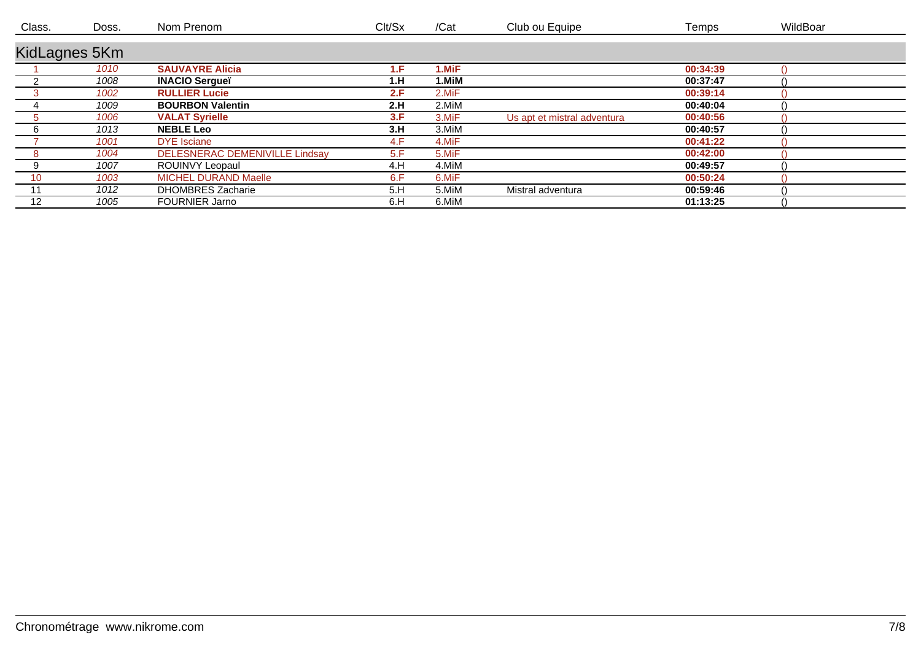| Class.        | Doss. | Nom Prenom                            | Clt/Sx | /Cat  | Club ou Equipe              | Temps    | WildBoar |
|---------------|-------|---------------------------------------|--------|-------|-----------------------------|----------|----------|
| KidLagnes 5Km |       |                                       |        |       |                             |          |          |
|               | 1010  | <b>SAUVAYRE Alicia</b>                | ŧЕ.    | I.MiF |                             | 00:34:39 |          |
|               | 1008  | <b>INACIO Sergueï</b>                 | 1.H    | ∣.MiM |                             | 00:37:47 |          |
|               | 1002  | <b>RULLIER Lucie</b>                  | 2.F    | 2.MiF |                             | 00:39:14 |          |
|               | 1009  | <b>BOURBON Valentin</b>               | 2.H    | 2.MiM |                             | 00:40:04 |          |
|               | 1006  | <b>VALAT Syrielle</b>                 | 3.F    | 3.MiF | Us apt et mistral adventura | 00:40:56 |          |
|               | 1013  | <b>NEBLE Leo</b>                      | 3.H    | 3.MiM |                             | 00:40:57 |          |
|               | 1001  | <b>DYE</b> Isciane                    | 4.F    | 4.MiF |                             | 00:41:22 |          |
|               | 1004  | <b>DELESNERAC DEMENIVILLE Lindsav</b> | 5.F    | 5.MiF |                             | 00:42:00 |          |
|               | 1007  | <b>ROUINVY Leopaul</b>                | 4.H    | 4.MiM |                             | 00:49:57 |          |
| 10            | 1003  | <b>MICHEL DURAND Maelle</b>           | 6.F    | 6.MiF |                             | 00:50:24 |          |
|               | 1012  | <b>DHOMBRES Zacharie</b>              | 5.H    | 5.MiM | Mistral adventura           | 00:59:46 |          |
| 12            | 1005  | <b>FOURNIER Jarno</b>                 | 6.H    | 6.MiM |                             | 01:13:25 |          |